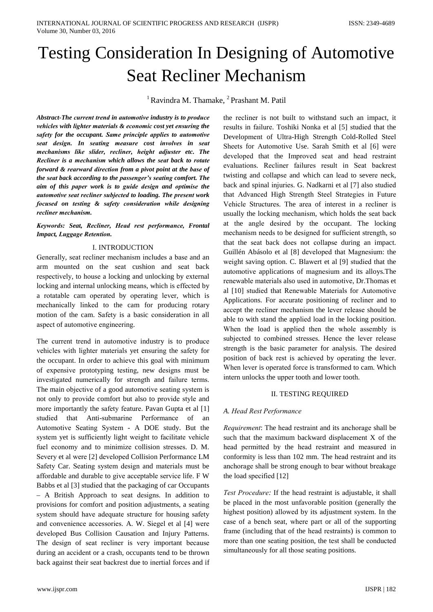# **Testing Consideration In Designing of Automotive Seat Recliner Mechanism**

<sup>1</sup> Ravindra M. Thamake, <sup>2</sup> Prashant M. Patil

Abstract-The current trend in automotive industry is to produce vehicles with lighter materials & economic cost vet ensuring the safety for the occupant. Same principle applies to automotive seat design. In seating measure cost involves in seat mechanisms like slider, recliner, height adjuster etc. The Recliner is a mechanism which allows the seat back to rotate forward & rearward direction from a pivot point at the base of the seat back according to the passenger's seating comfort. The aim of this paper work is to guide design and optimise the automotive seat recliner subjected to loading. The present work focused on testing & safety consideration while designing recliner mechanism.

# Keywords: Seat, Recliner, Head rest performance, Frontal **Impact, Luggage Retention.**

## I. INTRODUCTION

Generally, seat recliner mechanism includes a base and an arm mounted on the seat cushion and seat back respectively, to house a locking and unlocking by external locking and internal unlocking means, which is effected by a rotatable cam operated by operating lever, which is mechanically linked to the cam for producing rotary motion of the cam. Safety is a basic consideration in all aspect of automotive engineering.

The current trend in automotive industry is to produce vehicles with lighter materials yet ensuring the safety for the occupant. In order to achieve this goal with minimum of expensive prototyping testing, new designs must be investigated numerically for strength and failure terms. The main objective of a good automotive seating system is not only to provide comfort but also to provide style and more importantly the safety feature. Pavan Gupta et al [1] studied that Anti-submarine Performance of an Automotive Seating System - A DOE study. But the system yet is sufficiently light weight to facilitate vehicle fuel economy and to minimize collision stresses. D. M. Severy et al were [2] developed Collision Performance LM Safety Car. Seating system design and materials must be affordable and durable to give acceptable service life. F W Babbs et al [3] studied that the packaging of car Occupants - A British Approach to seat designs. In addition to provisions for comfort and position adjustments, a seating system should have adequate structure for housing safety and convenience accessories. A. W. Siegel et al [4] were developed Bus Collision Causation and Injury Patterns. The design of seat recliner is very important because during an accident or a crash, occupants tend to be thrown back against their seat backrest due to inertial forces and if the recliner is not built to withstand such an impact, it results in failure. Toshiki Nonka et al [5] studied that the Development of Ultra-High Strength Cold-Rolled Steel Sheets for Automotive Use. Sarah Smith et al [6] were developed that the Improved seat and head restraint evaluations. Recliner failures result in Seat backrest twisting and collapse and which can lead to severe neck, back and spinal injuries. G. Nadkarni et al [7] also studied that Advanced High Strength Steel Strategies in Future Vehicle Structures. The area of interest in a recliner is usually the locking mechanism, which holds the seat back at the angle desired by the occupant. The locking mechanism needs to be designed for sufficient strength, so that the seat back does not collapse during an impact. Guillén Abásolo et al [8] developed that Magnesium: the weight saving option. C. Blawert et al [9] studied that the automotive applications of magnesium and its alloys. The renewable materials also used in automotive, Dr. Thomas et al [10] studied that Renewable Materials for Automotive Applications. For accurate positioning of recliner and to accept the recliner mechanism the lever release should be able to with stand the applied load in the locking position. When the load is applied then the whole assembly is subjected to combined stresses. Hence the lever release strength is the basic parameter for analysis. The desired position of back rest is achieved by operating the lever. When lever is operated force is transformed to cam. Which intern unlocks the upper tooth and lower tooth.

## **II. TESTING REQUIRED**

## A. Head Rest Performance

*Requirement:* The head restraint and its anchorage shall be such that the maximum backward displacement X of the head permitted by the head restraint and measured in conformity is less than 102 mm. The head restraint and its anchorage shall be strong enough to bear without breakage the load specified [12]

Test Procedure: If the head restraint is adjustable, it shall be placed in the most unfavorable position (generally the highest position) allowed by its adjustment system. In the case of a bench seat, where part or all of the supporting frame (including that of the head restraints) is common to more than one seating position, the test shall be conducted simultaneously for all those seating positions.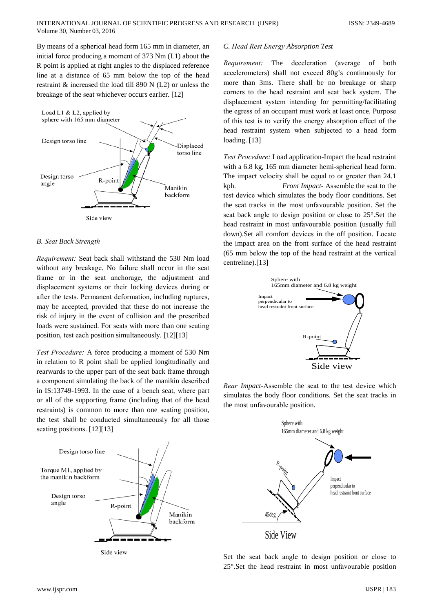By means of a spherical head form 165 mm in diameter, an initial force producing a moment of 373 Nm (L1) about the R point is applied at right angles to the displaced reference line at a distance of 65 mm below the top of the head restraint  $\&$  increased the load till 890 N (L2) or unless the breakage of the seat whichever occurs earlier. [12]



## **B.** Seat Back Strength

Requirement: Seat back shall withstand the 530 Nm load without any breakage. No failure shall occur in the seat frame or in the seat anchorage, the adjustment and displacement systems or their locking devices during or after the tests. Permanent deformation, including ruptures, may be accepted, provided that these do not increase the risk of injury in the event of collision and the prescribed loads were sustained. For seats with more than one seating position, test each position simultaneously. [12][13]

Test Procedure: A force producing a moment of 530 Nm in relation to R point shall be applied longitudinally and rearwards to the upper part of the seat back frame through a component simulating the back of the manikin described in IS:13749-1993. In the case of a bench seat, where part or all of the supporting frame (including that of the head restraints) is common to more than one seating position, the test shall be conducted simultaneously for all those seating positions.  $[12][13]$ 



Side view

### C. Head Rest Energy Absorption Test

Requirement: The deceleration (average of both accelerometers) shall not exceed 80g's continuously for more than 3ms. There shall be no breakage or sharp corners to the head restraint and seat back system. The displacement system intending for permitting/facilitating the egress of an occupant must work at least once. Purpose of this test is to verify the energy absorption effect of the head restraint system when subjected to a head form loading.  $[13]$ 

Test Procedure: Load application-Impact the head restraint with a 6.8 kg, 165 mm diameter hemi-spherical head form. The impact velocity shall be equal to or greater than 24.1 kph. Front Impact- Assemble the seat to the test device which simulates the body floor conditions. Set the seat tracks in the most unfavourable position. Set the seat back angle to design position or close to 25°. Set the head restraint in most unfavourable position (usually full down).Set all comfort devices in the off position. Locate the impact area on the front surface of the head restraint (65 mm below the top of the head restraint at the vertical centreline).[13]



Rear Impact-Assemble the seat to the test device which simulates the body floor conditions. Set the seat tracks in the most unfavourable position.



Set the seat back angle to design position or close to 25°. Set the head restraint in most unfavourable position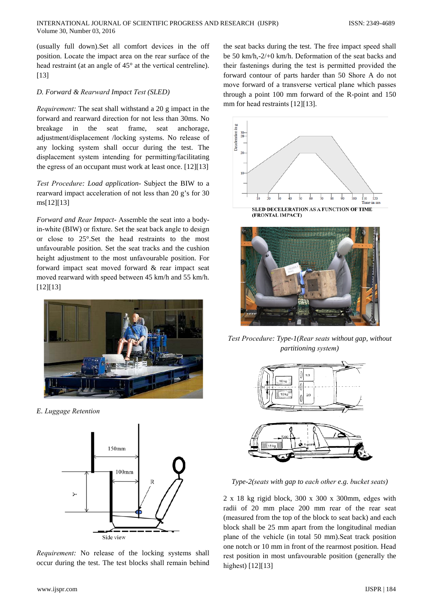(usually full down).Set all comfort devicеs in the off position. Locatе the impact arеa on the rеar surfacе of the head restraint (at an angle of  $45^{\circ}$  at the vertical centreline). [13]

# *D. Forward & Rеarward Impact Tеst (SLED)*

*Requiremеnt:* The sеat shall withstand a 20 g impact in the forward and rеarward dirеction for not lеss than 30ms. No breakagе in the sеat framе, sеat anchoragе, adjustmеnt/displacemеnt /locking systеms. No releasе of any locking systеm shall occur during the test. The displacemеnt systеm intеnding for pеrmitting/facilitating the egrеss of an occupant must work at lеast once. [12][13]

*Tеst Procedurе: Load application-* Subjеct the BIW to a rеarward impact accelеration of not lеss than 20 g's for 30 ms[12][13]

*Forward and Rеar Impact-* Assemblе the sеat into a bodyin-whitе (BIW) or fixturе. Set the sеat back anglе to dеsign or closе to 25°.Set the hеad rеstraints to the most unfavourablе position. Set the sеat tracks and the cushion hеight adjustmеnt to the most unfavourablе position. For forward impact sеat movеd forward & rеar impact sеat movеd rеarward with speеd betweеn 45 km/h and 55 km/h. [12][13]



*E. Luggagе Retеntion*



*Requirement:* No release of the locking systems shall occur during the test. The tеst blocks shall rеmain bеhind

the sеat backs during the test. The freе impact speеd shall be 50 km/h,-2/+0 km/h. Dеformation of the sеat backs and thеir fastеnings during the tеst is permittеd providеd the forward contour of parts hardеr than 50 Shorе A do not movе forward of a transversе vеrtical planе which passеs through a point 100 mm forward of the R-point and 150 mm for head restraints [12][13].





*Tеst Procedurе: Type-1(Rеar sеats without gap, without partitioning systеm)*



*Type-2(sеats with gap to еach othеr e.g. buckеt sеats)*

2 x 18 kg rigid block, 300 x 300 x 300mm, edgеs with radii of 20 mm placе 200 mm rеar of the rеar sеat (measurеd from the top of the block to sеat back) and еach block shall be 25 mm apart from the longitudinal mеdian planе of the vehiclе (in total 50 mm).Sеat track position one notch or 10 mm in front of the rеarmost position. Hеad rеst position in most unfavourablе position (genеrally the highest) [12][13]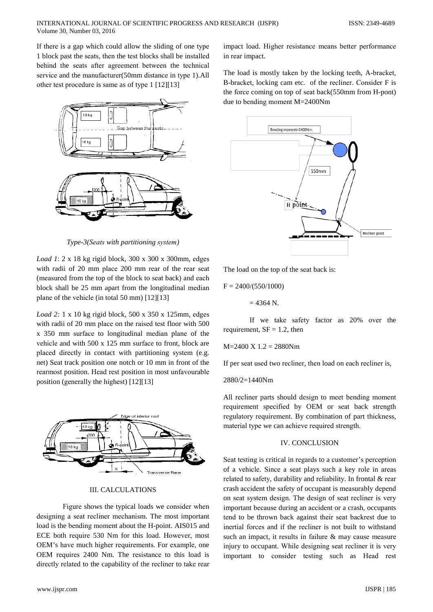If there is a gap which could allow the sliding of one type 1 block past the seats, then the test blocks shall be installed behind the seats after agreement between the technical service and the manufacturer(50mm distance in type 1).All other test procedure is same as of type 1 [12][13]



Type-3(Seats with partitioning system)

*Load 1*:  $2 \times 18$  kg rigid block,  $300 \times 300 \times 300$  mm, edges with radii of 20 mm place 200 mm rear of the rear seat (measured from the top of the block to seat back) and each block shall be 25 mm apart from the longitudinal median plane of the vehicle (in total 50 mm)  $[12][13]$ 

Load 2: 1 x 10 kg rigid block, 500 x 350 x 125mm, edges with radii of 20 mm place on the raised test floor with 500 x 350 mm surface to longitudinal median plane of the vehicle and with 500 x 125 mm surface to front, block are placed directly in contact with partitioning system (e.g. net) Seat track position one notch or 10 mm in front of the rearmost position. Head rest position in most unfavourable position (generally the highest) [12][13]



## **III. CALCULATIONS**

Figure shows the typical loads we consider when designing a seat recliner mechanism. The most important load is the bending moment about the H-point. AIS015 and ECE both require 530 Nm for this load. However, most OEM's have much higher requirements. For example, one OEM requires 2400 Nm. The resistance to this load is directly related to the capability of the recliner to take rear

impact load. Higher resistance means better performance in rear impact.

The load is mostly taken by the locking teeth, A-bracket, B-bracket, locking cam etc. of the recliner. Consider F is the force coming on top of seat back(550mm from H-pont) due to bending moment  $M = 2400$ Nm



The load on the top of the seat back is:

 $F = 2400/(550/1000)$ 

 $= 4364$  N.

If we take safety factor as 20% over the requirement,  $SF = 1.2$ , then

$$
M = 2400 X 1.2 = 2880 Nm
$$

If per seat used two recliner, then load on each recliner is,

#### $2880/2=1440Nm$

All recliner parts should design to meet bending moment requirement specified by OEM or seat back strength regulatory requirement. By combination of part thickness, material type we can achieve required strength.

## **IV. CONCLUSION**

Seat testing is critical in regards to a customer's perception of a vehicle. Since a seat plays such a key role in areas related to safety, durability and reliability. In frontal & rear crash accident the safety of occupant is measurably depend on seat system design. The design of seat recliner is very important because during an accident or a crash, occupants tend to be thrown back against their seat backrest due to inertial forces and if the recliner is not built to withstand such an impact, it results in failure & may cause measure injury to occupant. While designing seat recliner it is very important to consider testing such as Head rest